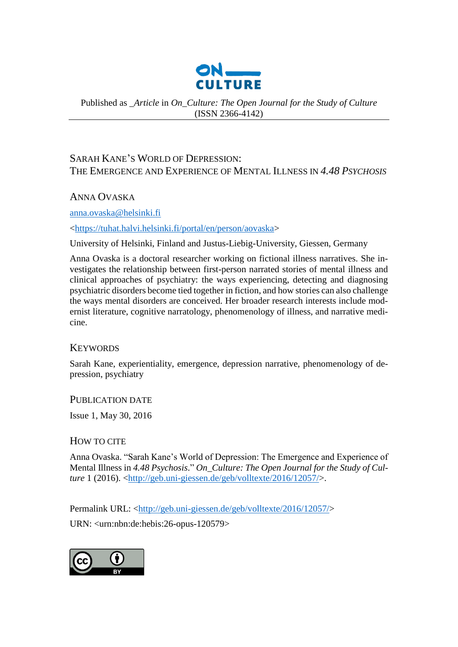

Published as *\_Article* in *On\_Culture: The Open Journal for the Study of Culture* (ISSN 2366-4142)

# SARAH KANE'S WORLD OF DEPRESSION: THE EMERGENCE AND EXPERIENCE OF MENTAL ILLNESS IN *4.48 PSYCHOSIS*

ANNA OVASKA

[anna.ovaska@helsinki.fi](mailto:anna.ovaska@helsinki.fi)

[<https://tuhat.halvi.helsinki.fi/portal/en/person/aovaska>](https://tuhat.halvi.helsinki.fi/portal/en/person/aovaska)

University of Helsinki, Finland and Justus-Liebig-University, Giessen, Germany

Anna Ovaska is a doctoral researcher working on fictional illness narratives. She investigates the relationship between first-person narrated stories of mental illness and clinical approaches of psychiatry: the ways experiencing, detecting and diagnosing psychiatric disorders become tied together in fiction, and how stories can also challenge the ways mental disorders are conceived. Her broader research interests include modernist literature, cognitive narratology, phenomenology of illness, and narrative medicine.

# **KEYWORDS**

Sarah Kane, experientiality, emergence, depression narrative, phenomenology of depression, psychiatry

PUBLICATION DATE

Issue 1, May 30, 2016

HOW TO CITE

Anna Ovaska. "Sarah Kane's World of Depression: The Emergence and Experience of Mental Illness in *4.48 Psychosis*." *On\_Culture: The Open Journal for the Study of Culture* 1 (2016). [<http://geb.uni-giessen.de/geb/volltexte/2016/12057/>](http://geb.uni-giessen.de/geb/volltexte/2016/12057/).

Permalink URL: [<http://geb.uni-giessen.de/geb/volltexte/2016/12057/>](http://geb.uni-giessen.de/geb/volltexte/2016/12057/)

URN: <urn:nbn:de:hebis:26-opus-120579>

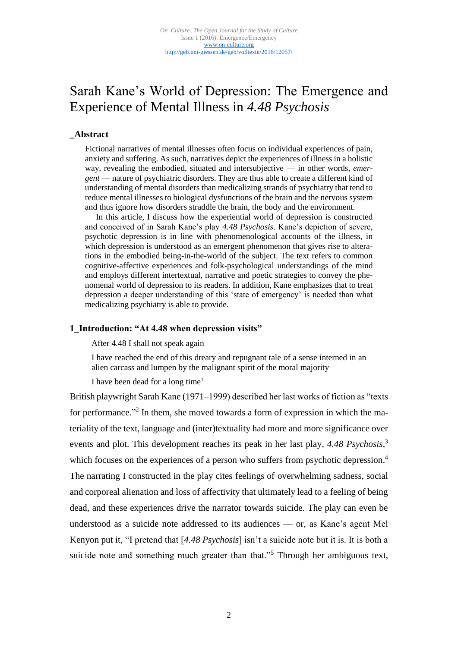# Sarah Kane's World of Depression: The Emergence and Experience of Mental Illness in *4.48 Psychosis*

# **\_Abstract**

Fictional narratives of mental illnesses often focus on individual experiences of pain, anxiety and suffering. As such, narratives depict the experiences of illness in a holistic way, revealing the embodied, situated and intersubjective — in other words, *emergent* — nature of psychiatric disorders. They are thus able to create a different kind of understanding of mental disorders than medicalizing strands of psychiatry that tend to reduce mental illnesses to biological dysfunctions of the brain and the nervous system and thus ignore how disorders straddle the brain, the body and the environment.

In this article, I discuss how the experiential world of depression is constructed and conceived of in Sarah Kane's play *4.48 Psychosis*. Kane's depiction of severe, psychotic depression is in line with phenomenological accounts of the illness, in which depression is understood as an emergent phenomenon that gives rise to alterations in the embodied being-in-the-world of the subject. The text refers to common cognitive-affective experiences and folk-psychological understandings of the mind and employs different intertextual, narrative and poetic strategies to convey the phenomenal world of depression to its readers. In addition, Kane emphasizes that to treat depression a deeper understanding of this 'state of emergency' is needed than what medicalizing psychiatry is able to provide.

# **1\_Introduction: "At 4.48 when depression visits"**

After 4.48 I shall not speak again

I have reached the end of this dreary and repugnant tale of a sense interned in an alien carcass and lumpen by the malignant spirit of the moral majority

I have been dead for a long time<sup>1</sup>

British playwright Sarah Kane (1971–1999) described her last works of fiction as "texts for performance."<sup>2</sup> In them, she moved towards a form of expression in which the materiality of the text, language and (inter)textuality had more and more significance over events and plot. This development reaches its peak in her last play, *4.48 Psychosis*, 3 which focuses on the experiences of a person who suffers from psychotic depression.<sup>4</sup> The narrating I constructed in the play cites feelings of overwhelming sadness, social and corporeal alienation and loss of affectivity that ultimately lead to a feeling of being dead, and these experiences drive the narrator towards suicide. The play can even be understood as a suicide note addressed to its audiences — or, as Kane's agent Mel Kenyon put it, "I pretend that [*4.48 Psychosis*] isn't a suicide note but it is. It is both a suicide note and something much greater than that."<sup>5</sup> Through her ambiguous text,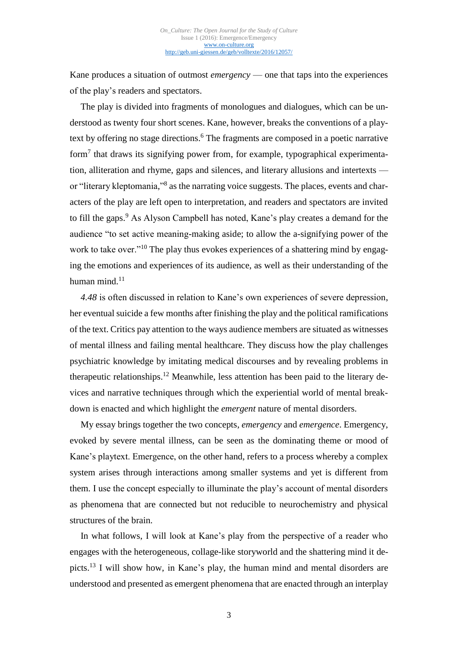Kane produces a situation of outmost *emergency* — one that taps into the experiences of the play's readers and spectators.

The play is divided into fragments of monologues and dialogues, which can be understood as twenty four short scenes. Kane, however, breaks the conventions of a playtext by offering no stage directions. <sup>6</sup> The fragments are composed in a poetic narrative form<sup>7</sup> that draws its signifying power from, for example, typographical experimentation, alliteration and rhyme, gaps and silences, and literary allusions and intertexts or "literary kleptomania,"<sup>8</sup> as the narrating voice suggests. The places, events and characters of the play are left open to interpretation, and readers and spectators are invited to fill the gaps.<sup>9</sup> As Alyson Campbell has noted, Kane's play creates a demand for the audience "to set active meaning-making aside; to allow the a-signifying power of the work to take over."<sup>10</sup> The play thus evokes experiences of a shattering mind by engaging the emotions and experiences of its audience, as well as their understanding of the human mind. 11

*4.48* is often discussed in relation to Kane's own experiences of severe depression, her eventual suicide a few months after finishing the play and the political ramifications of the text. Critics pay attention to the ways audience members are situated as witnesses of mental illness and failing mental healthcare. They discuss how the play challenges psychiatric knowledge by imitating medical discourses and by revealing problems in therapeutic relationships. <sup>12</sup> Meanwhile, less attention has been paid to the literary devices and narrative techniques through which the experiential world of mental breakdown is enacted and which highlight the *emergent* nature of mental disorders.

My essay brings together the two concepts, *emergency* and *emergence*. Emergency, evoked by severe mental illness, can be seen as the dominating theme or mood of Kane's playtext. Emergence, on the other hand, refers to a process whereby a complex system arises through interactions among smaller systems and yet is different from them. I use the concept especially to illuminate the play's account of mental disorders as phenomena that are connected but not reducible to neurochemistry and physical structures of the brain.

In what follows, I will look at Kane's play from the perspective of a reader who engages with the heterogeneous, collage-like storyworld and the shattering mind it depicts. <sup>13</sup> I will show how, in Kane's play, the human mind and mental disorders are understood and presented as emergent phenomena that are enacted through an interplay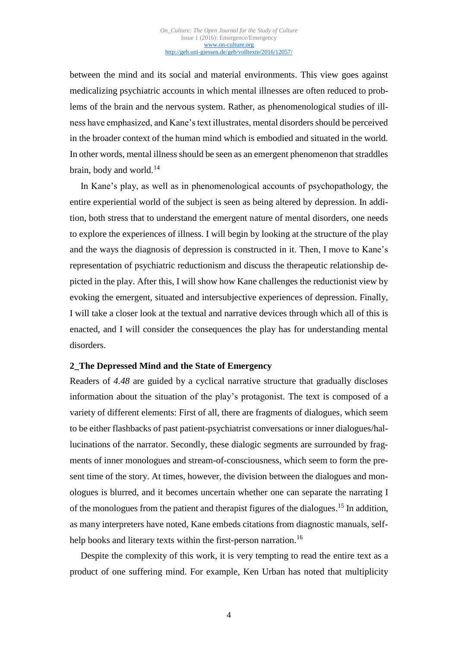between the mind and its social and material environments. This view goes against medicalizing psychiatric accounts in which mental illnesses are often reduced to problems of the brain and the nervous system. Rather, as phenomenological studies of illness have emphasized, and Kane's text illustrates, mental disorders should be perceived in the broader context of the human mind which is embodied and situated in the world. In other words, mental illness should be seen as an emergent phenomenon that straddles brain, body and world. $^{14}$ 

In Kane's play, as well as in phenomenological accounts of psychopathology, the entire experiential world of the subject is seen as being altered by depression. In addition, both stress that to understand the emergent nature of mental disorders, one needs to explore the experiences of illness. I will begin by looking at the structure of the play and the ways the diagnosis of depression is constructed in it. Then, I move to Kane's representation of psychiatric reductionism and discuss the therapeutic relationship depicted in the play. After this, I will show how Kane challenges the reductionist view by evoking the emergent, situated and intersubjective experiences of depression. Finally, I will take a closer look at the textual and narrative devices through which all of this is enacted, and I will consider the consequences the play has for understanding mental disorders.

# **2\_The Depressed Mind and the State of Emergency**

Readers of *4.48* are guided by a cyclical narrative structure that gradually discloses information about the situation of the play's protagonist. The text is composed of a variety of different elements: First of all, there are fragments of dialogues, which seem to be either flashbacks of past patient-psychiatrist conversations or inner dialogues/hallucinations of the narrator. Secondly, these dialogic segments are surrounded by fragments of inner monologues and stream-of-consciousness, which seem to form the present time of the story. At times, however, the division between the dialogues and monologues is blurred, and it becomes uncertain whether one can separate the narrating I of the monologues from the patient and therapist figures of the dialogues. <sup>15</sup> In addition, as many interpreters have noted, Kane embeds citations from diagnostic manuals, selfhelp books and literary texts within the first-person narration.<sup>16</sup>

Despite the complexity of this work, it is very tempting to read the entire text as a product of one suffering mind. For example, Ken Urban has noted that multiplicity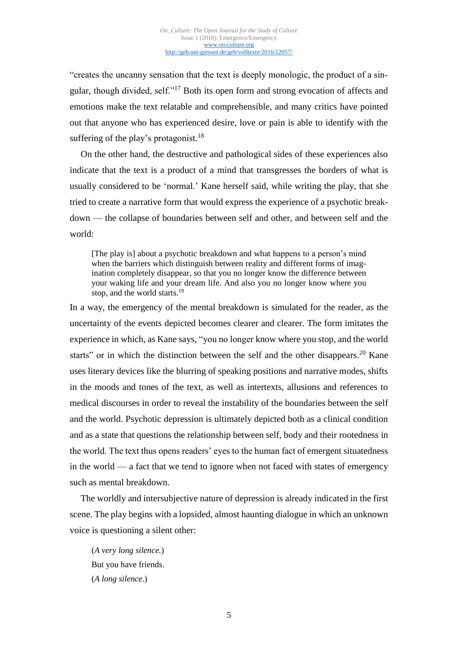"creates the uncanny sensation that the text is deeply monologic, the product of a singular, though divided, self."<sup>17</sup> Both its open form and strong evocation of affects and emotions make the text relatable and comprehensible, and many critics have pointed out that anyone who has experienced desire, love or pain is able to identify with the suffering of the play's protagonist.<sup>18</sup>

On the other hand, the destructive and pathological sides of these experiences also indicate that the text is a product of a mind that transgresses the borders of what is usually considered to be 'normal.' Kane herself said, while writing the play, that she tried to create a narrative form that would express the experience of a psychotic breakdown — the collapse of boundaries between self and other, and between self and the world:

[The play is] about a psychotic breakdown and what happens to a person's mind when the barriers which distinguish between reality and different forms of imagination completely disappear, so that you no longer know the difference between your waking life and your dream life. And also you no longer know where you stop, and the world starts.<sup>19</sup>

In a way, the emergency of the mental breakdown is simulated for the reader, as the uncertainty of the events depicted becomes clearer and clearer. The form imitates the experience in which, as Kane says, "you no longer know where you stop, and the world starts" or in which the distinction between the self and the other disappears.<sup>20</sup> Kane uses literary devices like the blurring of speaking positions and narrative modes, shifts in the moods and tones of the text, as well as intertexts, allusions and references to medical discourses in order to reveal the instability of the boundaries between the self and the world. Psychotic depression is ultimately depicted both as a clinical condition and as a state that questions the relationship between self, body and their rootedness in the world. The text thus opens readers' eyes to the human fact of emergent situatedness in the world — a fact that we tend to ignore when not faced with states of emergency such as mental breakdown.

The worldly and intersubjective nature of depression is already indicated in the first scene. The play begins with a lopsided, almost haunting dialogue in which an unknown voice is questioning a silent other:

(*A very long silence.*) But you have friends. (*A long silence.*)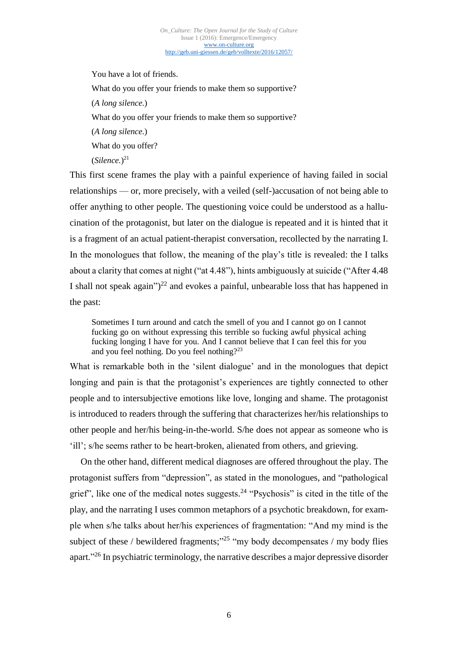You have a lot of friends. What do you offer your friends to make them so supportive? (*A long silence.*) What do you offer your friends to make them so supportive? (*A long silence.*) What do you offer? (*Silence.*) 21

This first scene frames the play with a painful experience of having failed in social relationships — or, more precisely, with a veiled (self-)accusation of not being able to offer anything to other people. The questioning voice could be understood as a hallucination of the protagonist, but later on the dialogue is repeated and it is hinted that it is a fragment of an actual patient-therapist conversation, recollected by the narrating I. In the monologues that follow, the meaning of the play's title is revealed: the I talks about a clarity that comes at night ("at 4.48"), hints ambiguously at suicide ("After 4.48 I shall not speak again" $)^{22}$  and evokes a painful, unbearable loss that has happened in the past:

Sometimes I turn around and catch the smell of you and I cannot go on I cannot fucking go on without expressing this terrible so fucking awful physical aching fucking longing I have for you. And I cannot believe that I can feel this for you and you feel nothing. Do you feel nothing?<sup>23</sup>

What is remarkable both in the 'silent dialogue' and in the monologues that depict longing and pain is that the protagonist's experiences are tightly connected to other people and to intersubjective emotions like love, longing and shame. The protagonist is introduced to readers through the suffering that characterizes her/his relationships to other people and her/his being-in-the-world. S/he does not appear as someone who is 'ill'; s/he seems rather to be heart-broken, alienated from others, and grieving.

On the other hand, different medical diagnoses are offered throughout the play. The protagonist suffers from "depression", as stated in the monologues, and "pathological grief", like one of the medical notes suggests. <sup>24</sup> "Psychosis" is cited in the title of the play, and the narrating I uses common metaphors of a psychotic breakdown, for example when s/he talks about her/his experiences of fragmentation: "And my mind is the subject of these / bewildered fragments;"<sup>25</sup> "my body decompensates / my body flies apart."<sup>26</sup> In psychiatric terminology, the narrative describes a major depressive disorder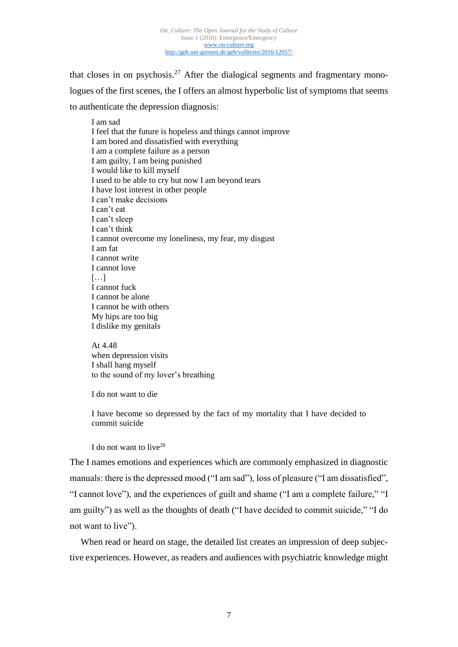that closes in on psychosis.<sup>27</sup> After the dialogical segments and fragmentary monologues of the first scenes, the I offers an almost hyperbolic list of symptoms that seems to authenticate the depression diagnosis:

I am sad I feel that the future is hopeless and things cannot improve I am bored and dissatisfied with everything I am a complete failure as a person I am guilty, I am being punished I would like to kill myself I used to be able to cry but now I am beyond tears I have lost interest in other people I can't make decisions I can't eat I can't sleep I can't think I cannot overcome my loneliness, my fear, my disgust I am fat I cannot write I cannot love  $[...]$ I cannot fuck I cannot be alone I cannot be with others My hips are too big I dislike my genitals

At 4.48 when depression visits I shall hang myself to the sound of my lover's breathing

I do not want to die

I have become so depressed by the fact of my mortality that I have decided to commit suicide

I do not want to live<sup>28</sup>

The I names emotions and experiences which are commonly emphasized in diagnostic manuals: there is the depressed mood ("I am sad"), loss of pleasure ("I am dissatisfied", "I cannot love"), and the experiences of guilt and shame ("I am a complete failure," "I am guilty") as well as the thoughts of death ("I have decided to commit suicide," "I do not want to live").

When read or heard on stage, the detailed list creates an impression of deep subjective experiences. However, as readers and audiences with psychiatric knowledge might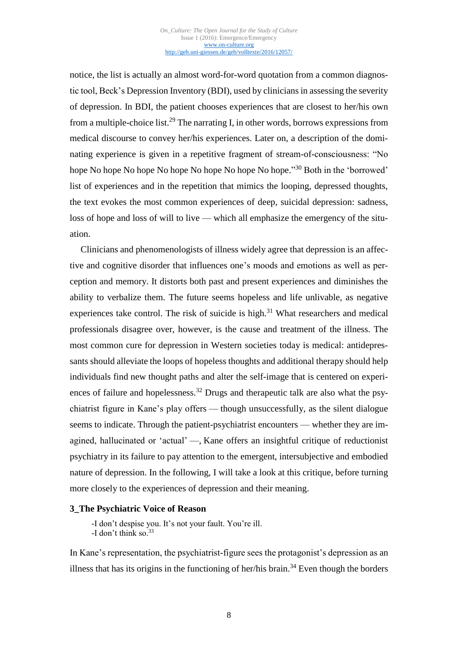notice, the list is actually an almost word-for-word quotation from a common diagnostic tool, Beck's Depression Inventory (BDI), used by clinicians in assessing the severity of depression. In BDI, the patient chooses experiences that are closest to her/his own from a multiple-choice list.<sup>29</sup> The narrating I, in other words, borrows expressions from medical discourse to convey her/his experiences. Later on, a description of the dominating experience is given in a repetitive fragment of stream-of-consciousness: "No hope No hope No hope No hope No hope No hope No hope."<sup>30</sup> Both in the 'borrowed' list of experiences and in the repetition that mimics the looping, depressed thoughts, the text evokes the most common experiences of deep, suicidal depression: sadness, loss of hope and loss of will to live — which all emphasize the emergency of the situation.

Clinicians and phenomenologists of illness widely agree that depression is an affective and cognitive disorder that influences one's moods and emotions as well as perception and memory. It distorts both past and present experiences and diminishes the ability to verbalize them. The future seems hopeless and life unlivable, as negative experiences take control. The risk of suicide is high.<sup>31</sup> What researchers and medical professionals disagree over, however, is the cause and treatment of the illness. The most common cure for depression in Western societies today is medical: antidepressants should alleviate the loops of hopeless thoughts and additional therapy should help individuals find new thought paths and alter the self-image that is centered on experiences of failure and hopelessness.<sup>32</sup> Drugs and therapeutic talk are also what the psychiatrist figure in Kane's play offers — though unsuccessfully, as the silent dialogue seems to indicate. Through the patient-psychiatrist encounters — whether they are imagined, hallucinated or 'actual' —, Kane offers an insightful critique of reductionist psychiatry in its failure to pay attention to the emergent, intersubjective and embodied nature of depression. In the following, I will take a look at this critique, before turning more closely to the experiences of depression and their meaning.

# **3\_The Psychiatric Voice of Reason**

-I don't despise you. It's not your fault. You're ill. -I don't think so.<sup>33</sup>

In Kane's representation, the psychiatrist-figure sees the protagonist's depression as an illness that has its origins in the functioning of her/his brain.<sup>34</sup> Even though the borders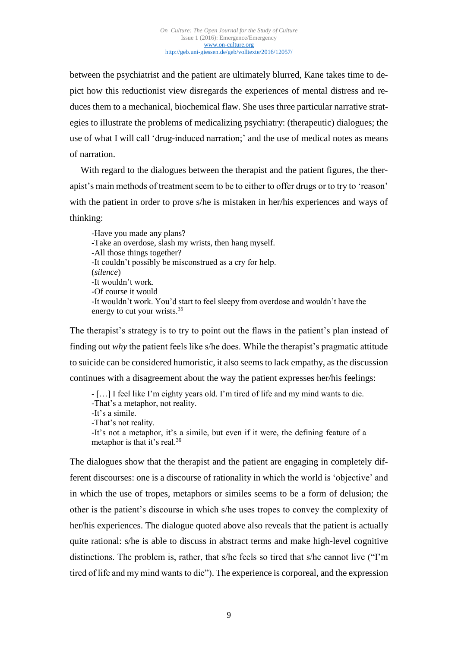between the psychiatrist and the patient are ultimately blurred, Kane takes time to depict how this reductionist view disregards the experiences of mental distress and reduces them to a mechanical, biochemical flaw. She uses three particular narrative strategies to illustrate the problems of medicalizing psychiatry: (therapeutic) dialogues; the use of what I will call 'drug-induced narration;' and the use of medical notes as means of narration.

With regard to the dialogues between the therapist and the patient figures, the therapist's main methods of treatment seem to be to either to offer drugs or to try to 'reason' with the patient in order to prove s/he is mistaken in her/his experiences and ways of thinking:

-Have you made any plans? -Take an overdose, slash my wrists, then hang myself. -All those things together? -It couldn't possibly be misconstrued as a cry for help. (*silence*) -It wouldn't work. -Of course it would -It wouldn't work. You'd start to feel sleepy from overdose and wouldn't have the energy to cut your wrists.<sup>35</sup>

The therapist's strategy is to try to point out the flaws in the patient's plan instead of finding out *why* the patient feels like s/he does. While the therapist's pragmatic attitude to suicide can be considered humoristic, it also seems to lack empathy, as the discussion continues with a disagreement about the way the patient expresses her/his feelings:

- […] I feel like I'm eighty years old. I'm tired of life and my mind wants to die.

-That's a metaphor, not reality.

-It's a simile.

-That's not reality.

-It's not a metaphor, it's a simile, but even if it were, the defining feature of a metaphor is that it's real.<sup>36</sup>

The dialogues show that the therapist and the patient are engaging in completely different discourses: one is a discourse of rationality in which the world is 'objective' and in which the use of tropes, metaphors or similes seems to be a form of delusion; the other is the patient's discourse in which s/he uses tropes to convey the complexity of her/his experiences. The dialogue quoted above also reveals that the patient is actually quite rational: s/he is able to discuss in abstract terms and make high-level cognitive distinctions. The problem is, rather, that s/he feels so tired that s/he cannot live ("I'm tired of life and my mind wants to die"). The experience is corporeal, and the expression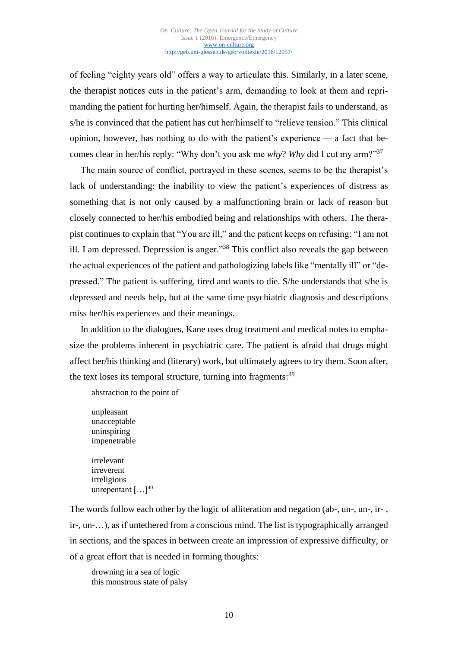of feeling "eighty years old" offers a way to articulate this. Similarly, in a later scene, the therapist notices cuts in the patient's arm, demanding to look at them and reprimanding the patient for hurting her/himself. Again, the therapist fails to understand, as s/he is convinced that the patient has cut her/himself to "relieve tension." This clinical opinion, however, has nothing to do with the patient's experience — a fact that becomes clear in her/his reply: "Why don't you ask me *why*? *Why* did I cut my arm?"<sup>37</sup>

The main source of conflict, portrayed in these scenes, seems to be the therapist's lack of understanding: the inability to view the patient's experiences of distress as something that is not only caused by a malfunctioning brain or lack of reason but closely connected to her/his embodied being and relationships with others. The therapist continues to explain that "You are ill," and the patient keeps on refusing: "I am not ill. I am depressed. Depression is anger."<sup>38</sup> This conflict also reveals the gap between the actual experiences of the patient and pathologizing labels like "mentally ill" or "depressed." The patient is suffering, tired and wants to die. S/he understands that s/he is depressed and needs help, but at the same time psychiatric diagnosis and descriptions miss her/his experiences and their meanings.

In addition to the dialogues, Kane uses drug treatment and medical notes to emphasize the problems inherent in psychiatric care. The patient is afraid that drugs might affect her/his thinking and (literary) work, but ultimately agrees to try them. Soon after, the text loses its temporal structure, turning into fragments:<sup>39</sup>

abstraction to the point of

unpleasant unacceptable uninspiring impenetrable irrelevant irreverent irreligious unrepentant [...]<sup>40</sup>

The words follow each other by the logic of alliteration and negation (ab-, un-, un-, ir- , ir-, un-…), as if untethered from a conscious mind. The list is typographically arranged in sections, and the spaces in between create an impression of expressive difficulty, or of a great effort that is needed in forming thoughts:

drowning in a sea of logic this monstrous state of palsy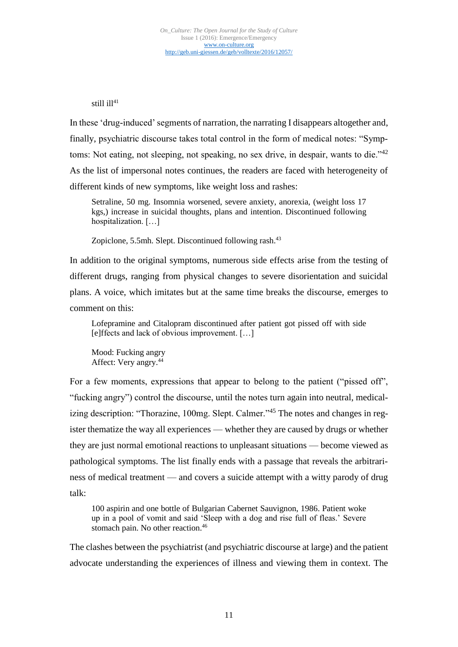# still  $i11^{41}$

In these 'drug-induced' segments of narration, the narrating I disappears altogether and, finally, psychiatric discourse takes total control in the form of medical notes: "Symptoms: Not eating, not sleeping, not speaking, no sex drive, in despair, wants to die."<sup>42</sup> As the list of impersonal notes continues, the readers are faced with heterogeneity of different kinds of new symptoms, like weight loss and rashes:

Setraline, 50 mg. Insomnia worsened, severe anxiety, anorexia, (weight loss 17 kgs,) increase in suicidal thoughts, plans and intention. Discontinued following hospitalization. […]

Zopiclone, 5.5mh. Slept. Discontinued following rash.<sup>43</sup>

In addition to the original symptoms, numerous side effects arise from the testing of different drugs, ranging from physical changes to severe disorientation and suicidal plans. A voice, which imitates but at the same time breaks the discourse, emerges to comment on this:

Lofepramine and Citalopram discontinued after patient got pissed off with side [e]ffects and lack of obvious improvement. […]

Mood: Fucking angry Affect: Very angry.<sup>44</sup>

For a few moments, expressions that appear to belong to the patient ("pissed off", "fucking angry") control the discourse, until the notes turn again into neutral, medicalizing description: "Thorazine, 100mg. Slept. Calmer."<sup>45</sup> The notes and changes in register thematize the way all experiences — whether they are caused by drugs or whether they are just normal emotional reactions to unpleasant situations — become viewed as pathological symptoms. The list finally ends with a passage that reveals the arbitrariness of medical treatment — and covers a suicide attempt with a witty parody of drug talk:

100 aspirin and one bottle of Bulgarian Cabernet Sauvignon, 1986. Patient woke up in a pool of vomit and said 'Sleep with a dog and rise full of fleas.' Severe stomach pain. No other reaction.<sup>46</sup>

The clashes between the psychiatrist (and psychiatric discourse at large) and the patient advocate understanding the experiences of illness and viewing them in context. The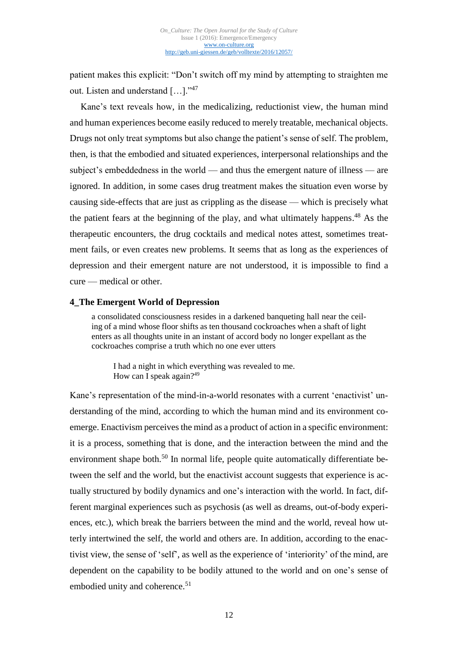patient makes this explicit: "Don't switch off my mind by attempting to straighten me out. Listen and understand […]."<sup>47</sup>

Kane's text reveals how, in the medicalizing, reductionist view, the human mind and human experiences become easily reduced to merely treatable, mechanical objects. Drugs not only treat symptoms but also change the patient's sense of self. The problem, then, is that the embodied and situated experiences, interpersonal relationships and the subject's embeddedness in the world — and thus the emergent nature of illness — are ignored. In addition, in some cases drug treatment makes the situation even worse by causing side-effects that are just as crippling as the disease — which is precisely what the patient fears at the beginning of the play, and what ultimately happens. <sup>48</sup> As the therapeutic encounters, the drug cocktails and medical notes attest, sometimes treatment fails, or even creates new problems. It seems that as long as the experiences of depression and their emergent nature are not understood, it is impossible to find a cure — medical or other.

# **4\_The Emergent World of Depression**

a consolidated consciousness resides in a darkened banqueting hall near the ceiling of a mind whose floor shifts as ten thousand cockroaches when a shaft of light enters as all thoughts unite in an instant of accord body no longer expellant as the cockroaches comprise a truth which no one ever utters

I had a night in which everything was revealed to me. How can I speak again?<sup>49</sup>

Kane's representation of the mind-in-a-world resonates with a current 'enactivist' understanding of the mind, according to which the human mind and its environment coemerge. Enactivism perceives the mind as a product of action in a specific environment: it is a process, something that is done, and the interaction between the mind and the environment shape both.<sup>50</sup> In normal life, people quite automatically differentiate between the self and the world, but the enactivist account suggests that experience is actually structured by bodily dynamics and one's interaction with the world. In fact, different marginal experiences such as psychosis (as well as dreams, out-of-body experiences, etc.), which break the barriers between the mind and the world, reveal how utterly intertwined the self, the world and others are. In addition, according to the enactivist view, the sense of 'self', as well as the experience of 'interiority' of the mind, are dependent on the capability to be bodily attuned to the world and on one's sense of embodied unity and coherence. 51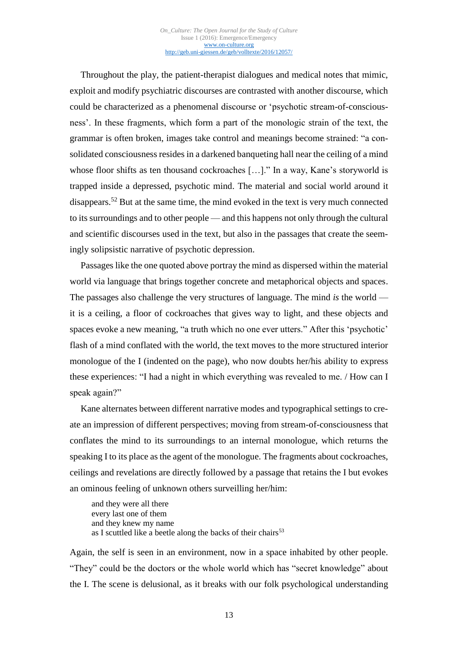Throughout the play, the patient-therapist dialogues and medical notes that mimic, exploit and modify psychiatric discourses are contrasted with another discourse, which could be characterized as a phenomenal discourse or 'psychotic stream-of-consciousness'. In these fragments, which form a part of the monologic strain of the text, the grammar is often broken, images take control and meanings become strained: "a consolidated consciousness resides in a darkened banqueting hall near the ceiling of a mind whose floor shifts as ten thousand cockroaches […]." In a way, Kane's storyworld is trapped inside a depressed, psychotic mind. The material and social world around it disappears.<sup>52</sup> But at the same time, the mind evoked in the text is very much connected to its surroundings and to other people — and this happens not only through the cultural and scientific discourses used in the text, but also in the passages that create the seemingly solipsistic narrative of psychotic depression.

Passages like the one quoted above portray the mind as dispersed within the material world via language that brings together concrete and metaphorical objects and spaces. The passages also challenge the very structures of language. The mind *is* the world it is a ceiling, a floor of cockroaches that gives way to light, and these objects and spaces evoke a new meaning, "a truth which no one ever utters." After this 'psychotic' flash of a mind conflated with the world, the text moves to the more structured interior monologue of the I (indented on the page), who now doubts her/his ability to express these experiences: "I had a night in which everything was revealed to me. / How can I speak again?"

Kane alternates between different narrative modes and typographical settings to create an impression of different perspectives; moving from stream-of-consciousness that conflates the mind to its surroundings to an internal monologue, which returns the speaking I to its place as the agent of the monologue. The fragments about cockroaches, ceilings and revelations are directly followed by a passage that retains the I but evokes an ominous feeling of unknown others surveilling her/him:

and they were all there every last one of them and they knew my name as I scuttled like a beetle along the backs of their chairs $53$ 

Again, the self is seen in an environment, now in a space inhabited by other people. "They" could be the doctors or the whole world which has "secret knowledge" about the I. The scene is delusional, as it breaks with our folk psychological understanding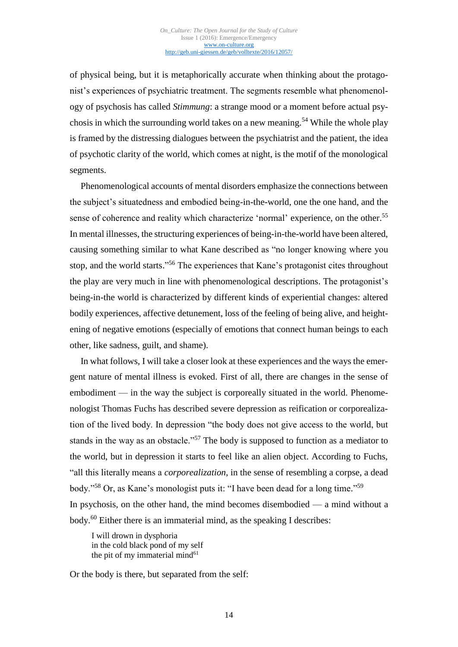of physical being, but it is metaphorically accurate when thinking about the protagonist's experiences of psychiatric treatment. The segments resemble what phenomenology of psychosis has called *Stimmung*: a strange mood or a moment before actual psychosis in which the surrounding world takes on a new meaning. <sup>54</sup> While the whole play is framed by the distressing dialogues between the psychiatrist and the patient, the idea of psychotic clarity of the world, which comes at night, is the motif of the monological segments.

Phenomenological accounts of mental disorders emphasize the connections between the subject's situatedness and embodied being-in-the-world, one the one hand, and the sense of coherence and reality which characterize 'normal' experience, on the other.<sup>55</sup> In mental illnesses, the structuring experiences of being-in-the-world have been altered, causing something similar to what Kane described as "no longer knowing where you stop, and the world starts."<sup>56</sup> The experiences that Kane's protagonist cites throughout the play are very much in line with phenomenological descriptions. The protagonist's being-in-the world is characterized by different kinds of experiential changes: altered bodily experiences, affective detunement, loss of the feeling of being alive, and heightening of negative emotions (especially of emotions that connect human beings to each other, like sadness, guilt, and shame).

In what follows, I will take a closer look at these experiences and the ways the emergent nature of mental illness is evoked. First of all, there are changes in the sense of embodiment — in the way the subject is corporeally situated in the world. Phenomenologist Thomas Fuchs has described severe depression as reification or corporealization of the lived body. In depression "the body does not give access to the world, but stands in the way as an obstacle."<sup>57</sup> The body is supposed to function as a mediator to the world, but in depression it starts to feel like an alien object. According to Fuchs, "all this literally means a *corporealization*, in the sense of resembling a corpse, a dead body."<sup>58</sup> Or, as Kane's monologist puts it: "I have been dead for a long time." 59 In psychosis, on the other hand, the mind becomes disembodied — a mind without a body. <sup>60</sup> Either there is an immaterial mind, as the speaking I describes:

I will drown in dysphoria in the cold black pond of my self the pit of my immaterial mind<sup>61</sup>

Or the body is there, but separated from the self: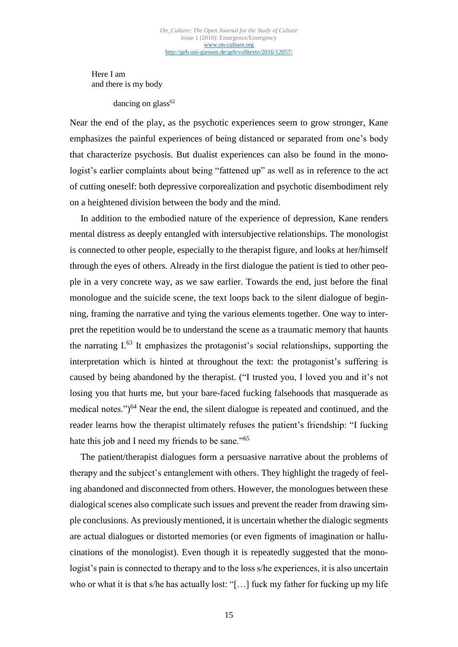Here I am and there is my body

dancing on glass $62$ 

Near the end of the play, as the psychotic experiences seem to grow stronger, Kane emphasizes the painful experiences of being distanced or separated from one's body that characterize psychosis. But dualist experiences can also be found in the monologist's earlier complaints about being "fattened up" as well as in reference to the act of cutting oneself: both depressive corporealization and psychotic disembodiment rely on a heightened division between the body and the mind.

In addition to the embodied nature of the experience of depression, Kane renders mental distress as deeply entangled with intersubjective relationships. The monologist is connected to other people, especially to the therapist figure, and looks at her/himself through the eyes of others. Already in the first dialogue the patient is tied to other people in a very concrete way, as we saw earlier. Towards the end, just before the final monologue and the suicide scene, the text loops back to the silent dialogue of beginning, framing the narrative and tying the various elements together. One way to interpret the repetition would be to understand the scene as a traumatic memory that haunts the narrating I. <sup>63</sup> It emphasizes the protagonist's social relationships, supporting the interpretation which is hinted at throughout the text: the protagonist's suffering is caused by being abandoned by the therapist. ("I trusted you, I loved you and it's not losing you that hurts me, but your bare-faced fucking falsehoods that masquerade as medical notes.")<sup>64</sup> Near the end, the silent dialogue is repeated and continued, and the reader learns how the therapist ultimately refuses the patient's friendship: "I fucking hate this job and I need my friends to be sane."<sup>65</sup>

The patient/therapist dialogues form a persuasive narrative about the problems of therapy and the subject's entanglement with others. They highlight the tragedy of feeling abandoned and disconnected from others. However, the monologues between these dialogical scenes also complicate such issues and prevent the reader from drawing simple conclusions. As previously mentioned, it is uncertain whether the dialogic segments are actual dialogues or distorted memories (or even figments of imagination or hallucinations of the monologist). Even though it is repeatedly suggested that the monologist's pain is connected to therapy and to the loss s/he experiences, it is also uncertain who or what it is that s/he has actually lost: "[…] fuck my father for fucking up my life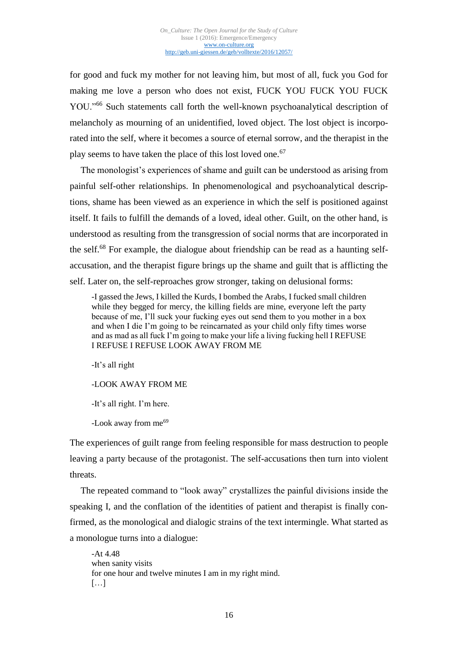for good and fuck my mother for not leaving him, but most of all, fuck you God for making me love a person who does not exist, FUCK YOU FUCK YOU FUCK YOU."<sup>66</sup> Such statements call forth the well-known psychoanalytical description of melancholy as mourning of an unidentified, loved object. The lost object is incorporated into the self, where it becomes a source of eternal sorrow, and the therapist in the play seems to have taken the place of this lost loved one.<sup>67</sup>

The monologist's experiences of shame and guilt can be understood as arising from painful self-other relationships. In phenomenological and psychoanalytical descriptions, shame has been viewed as an experience in which the self is positioned against itself. It fails to fulfill the demands of a loved, ideal other. Guilt, on the other hand, is understood as resulting from the transgression of social norms that are incorporated in the self.<sup>68</sup> For example, the dialogue about friendship can be read as a haunting selfaccusation, and the therapist figure brings up the shame and guilt that is afflicting the self. Later on, the self-reproaches grow stronger, taking on delusional forms:

-I gassed the Jews, I killed the Kurds, I bombed the Arabs, I fucked small children while they begged for mercy, the killing fields are mine, everyone left the party because of me, I'll suck your fucking eyes out send them to you mother in a box and when I die I'm going to be reincarnated as your child only fifty times worse and as mad as all fuck I'm going to make your life a living fucking hell I REFUSE I REFUSE I REFUSE LOOK AWAY FROM ME

-It's all right

-LOOK AWAY FROM ME

-It's all right. I'm here.

-Look away from me<sup>69</sup>

The experiences of guilt range from feeling responsible for mass destruction to people leaving a party because of the protagonist. The self-accusations then turn into violent threats.

The repeated command to "look away" crystallizes the painful divisions inside the speaking I, and the conflation of the identities of patient and therapist is finally confirmed, as the monological and dialogic strains of the text intermingle. What started as a monologue turns into a dialogue:

-At 4.48 when sanity visits for one hour and twelve minutes I am in my right mind.  $\left[\ldots\right]$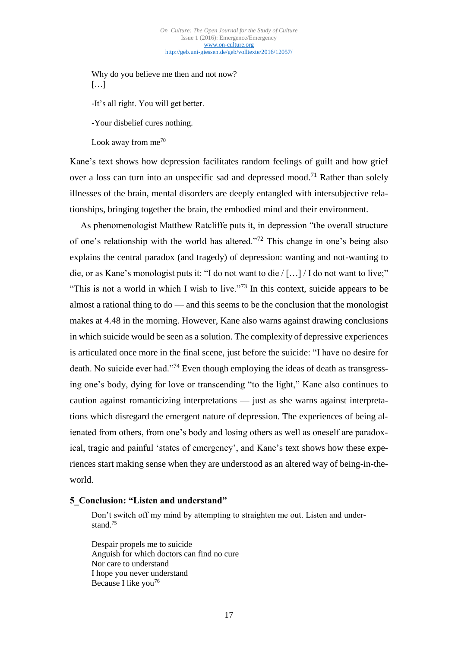Why do you believe me then and not now?  $[...]$ 

-It's all right. You will get better.

-Your disbelief cures nothing.

Look away from  $me^{70}$ 

Kane's text shows how depression facilitates random feelings of guilt and how grief over a loss can turn into an unspecific sad and depressed mood.<sup>71</sup> Rather than solely illnesses of the brain, mental disorders are deeply entangled with intersubjective relationships, bringing together the brain, the embodied mind and their environment.

As phenomenologist Matthew Ratcliffe puts it, in depression "the overall structure of one's relationship with the world has altered."<sup>72</sup> This change in one's being also explains the central paradox (and tragedy) of depression: wanting and not-wanting to die, or as Kane's monologist puts it: "I do not want to die / […] / I do not want to live;" "This is not a world in which I wish to live."<sup>73</sup> In this context, suicide appears to be almost a rational thing to do — and this seems to be the conclusion that the monologist makes at 4.48 in the morning. However, Kane also warns against drawing conclusions in which suicide would be seen as a solution. The complexity of depressive experiences is articulated once more in the final scene, just before the suicide: "I have no desire for death. No suicide ever had."<sup>74</sup> Even though employing the ideas of death as transgressing one's body, dying for love or transcending "to the light," Kane also continues to caution against romanticizing interpretations — just as she warns against interpretations which disregard the emergent nature of depression. The experiences of being alienated from others, from one's body and losing others as well as oneself are paradoxical, tragic and painful 'states of emergency', and Kane's text shows how these experiences start making sense when they are understood as an altered way of being-in-theworld.

# **5\_Conclusion: "Listen and understand"**

Don't switch off my mind by attempting to straighten me out. Listen and understand.<sup>75</sup>

Despair propels me to suicide Anguish for which doctors can find no cure Nor care to understand I hope you never understand Because I like you<sup>76</sup>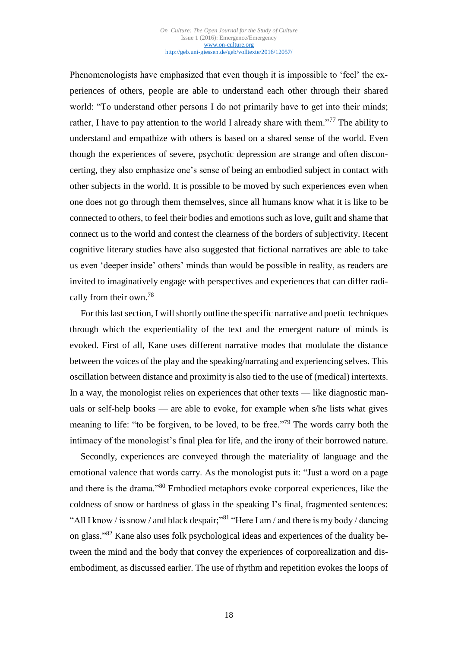Phenomenologists have emphasized that even though it is impossible to 'feel' the experiences of others, people are able to understand each other through their shared world: "To understand other persons I do not primarily have to get into their minds; rather, I have to pay attention to the world I already share with them."<sup>77</sup> The ability to understand and empathize with others is based on a shared sense of the world. Even though the experiences of severe, psychotic depression are strange and often disconcerting, they also emphasize one's sense of being an embodied subject in contact with other subjects in the world. It is possible to be moved by such experiences even when one does not go through them themselves, since all humans know what it is like to be connected to others, to feel their bodies and emotions such as love, guilt and shame that connect us to the world and contest the clearness of the borders of subjectivity. Recent cognitive literary studies have also suggested that fictional narratives are able to take us even 'deeper inside' others' minds than would be possible in reality, as readers are invited to imaginatively engage with perspectives and experiences that can differ radically from their own. 78

For this last section, I will shortly outline the specific narrative and poetic techniques through which the experientiality of the text and the emergent nature of minds is evoked. First of all, Kane uses different narrative modes that modulate the distance between the voices of the play and the speaking/narrating and experiencing selves. This oscillation between distance and proximity is also tied to the use of (medical) intertexts. In a way, the monologist relies on experiences that other texts — like diagnostic manuals or self-help books — are able to evoke, for example when s/he lists what gives meaning to life: "to be forgiven, to be loved, to be free."<sup>79</sup> The words carry both the intimacy of the monologist's final plea for life, and the irony of their borrowed nature.

Secondly, experiences are conveyed through the materiality of language and the emotional valence that words carry. As the monologist puts it: "Just a word on a page and there is the drama."<sup>80</sup> Embodied metaphors evoke corporeal experiences, like the coldness of snow or hardness of glass in the speaking I's final, fragmented sentences: "All I know / is snow / and black despair;"<sup>81</sup> "Here I am / and there is my body / dancing on glass." <sup>82</sup> Kane also uses folk psychological ideas and experiences of the duality between the mind and the body that convey the experiences of corporealization and disembodiment, as discussed earlier. The use of rhythm and repetition evokes the loops of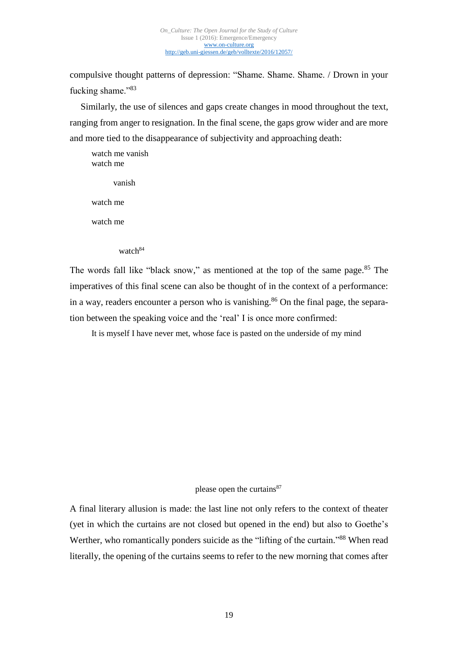compulsive thought patterns of depression: "Shame. Shame. Shame. / Drown in your fucking shame."83

Similarly, the use of silences and gaps create changes in mood throughout the text, ranging from anger to resignation. In the final scene, the gaps grow wider and are more and more tied to the disappearance of subjectivity and approaching death:

watch me vanish watch me vanish watch me watch me watch<sup>84</sup>

The words fall like "black snow," as mentioned at the top of the same page.<sup>85</sup> The imperatives of this final scene can also be thought of in the context of a performance: in a way, readers encounter a person who is vanishing.<sup>86</sup> On the final page, the separation between the speaking voice and the 'real' I is once more confirmed:

It is myself I have never met, whose face is pasted on the underside of my mind

please open the curtains<sup>87</sup>

A final literary allusion is made: the last line not only refers to the context of theater (yet in which the curtains are not closed but opened in the end) but also to Goethe's Werther, who romantically ponders suicide as the "lifting of the curtain."<sup>88</sup> When read literally, the opening of the curtains seems to refer to the new morning that comes after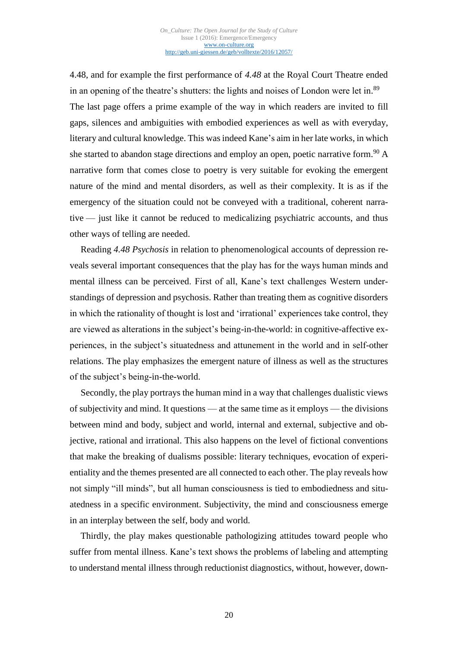4.48, and for example the first performance of *4.48* at the Royal Court Theatre ended in an opening of the theatre's shutters: the lights and noises of London were let in.<sup>89</sup> The last page offers a prime example of the way in which readers are invited to fill gaps, silences and ambiguities with embodied experiences as well as with everyday, literary and cultural knowledge. This was indeed Kane's aim in her late works, in which she started to abandon stage directions and employ an open, poetic narrative form.<sup>90</sup> A narrative form that comes close to poetry is very suitable for evoking the emergent nature of the mind and mental disorders, as well as their complexity. It is as if the emergency of the situation could not be conveyed with a traditional, coherent narrative — just like it cannot be reduced to medicalizing psychiatric accounts, and thus other ways of telling are needed.

Reading *4.48 Psychosis* in relation to phenomenological accounts of depression reveals several important consequences that the play has for the ways human minds and mental illness can be perceived. First of all, Kane's text challenges Western understandings of depression and psychosis. Rather than treating them as cognitive disorders in which the rationality of thought is lost and 'irrational' experiences take control, they are viewed as alterations in the subject's being-in-the-world: in cognitive-affective experiences, in the subject's situatedness and attunement in the world and in self-other relations. The play emphasizes the emergent nature of illness as well as the structures of the subject's being-in-the-world.

Secondly, the play portrays the human mind in a way that challenges dualistic views of subjectivity and mind. It questions — at the same time as it employs — the divisions between mind and body, subject and world, internal and external, subjective and objective, rational and irrational. This also happens on the level of fictional conventions that make the breaking of dualisms possible: literary techniques, evocation of experientiality and the themes presented are all connected to each other. The play reveals how not simply "ill minds", but all human consciousness is tied to embodiedness and situatedness in a specific environment. Subjectivity, the mind and consciousness emerge in an interplay between the self, body and world.

Thirdly, the play makes questionable pathologizing attitudes toward people who suffer from mental illness. Kane's text shows the problems of labeling and attempting to understand mental illness through reductionist diagnostics, without, however, down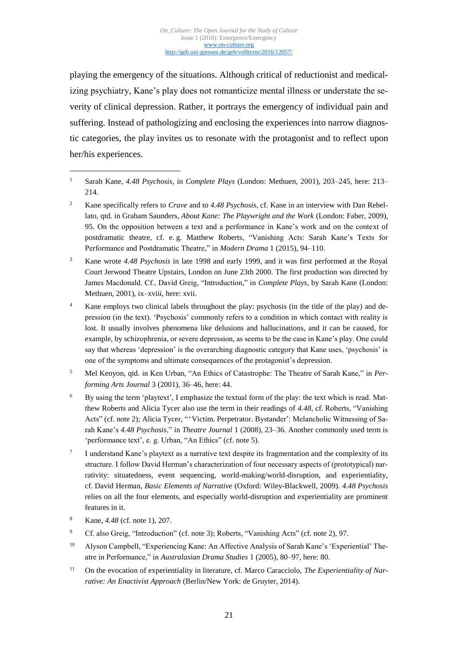playing the emergency of the situations. Although critical of reductionist and medicalizing psychiatry, Kane's play does not romanticize mental illness or understate the severity of clinical depression. Rather, it portrays the emergency of individual pain and suffering. Instead of pathologizing and enclosing the experiences into narrow diagnostic categories, the play invites us to resonate with the protagonist and to reflect upon her/his experiences.

<sup>2</sup> Kane specifically refers to *Crave* and to *4.48 Psychosis*, cf. Kane in an interview with Dan Rebellato, qtd. in Graham Saunders, *About Kane: The Playwright and the Work* (London: Faber, 2009), 95. On the opposition between a text and a performance in Kane's work and on the context of postdramatic theatre, cf. e. g. Matthew Roberts, "Vanishing Acts: Sarah Kane's Texts for Performance and Postdramatic Theatre," in *Modern Drama* 1 (2015), 94–110.

<sup>3</sup> Kane wrote *4.48 Psychosis* in late 1998 and early 1999, and it was first performed at the Royal Court Jerwood Theatre Upstairs, London on June 23th 2000. The first production was directed by James Macdonald. Cf., David Greig, "Introduction," in *Complete Plays*, by Sarah Kane (London: Methuen, 2001), ix–xviii, here: xvii.

<sup>4</sup> Kane employs two clinical labels throughout the play: psychosis (in the title of the play) and depression (in the text). 'Psychosis' commonly refers to a condition in which contact with reality is lost. It usually involves phenomena like delusions and hallucinations, and it can be caused, for example, by schizophrenia, or severe depression, as seems to be the case in Kane's play. One could say that whereas 'depression' is the overarching diagnostic category that Kane uses, 'psychosis' is one of the symptoms and ultimate consequences of the protagonist's depression.

- <sup>5</sup> Mel Kenyon, qtd. in Ken Urban, "An Ethics of Catastrophe: The Theatre of Sarah Kane," in *Performing Arts Journal* 3 (2001), 36–46, here: 44.
- <sup>6</sup> By using the term 'playtext', I emphasize the textual form of the play: the text which is read. Matthew Roberts and Alicia Tycer also use the term in their readings of *4.48*, cf. Roberts, "Vanishing Acts" (cf. note 2); Alicia Tycer, "'Victim. Perpetrator. Bystander': Melancholic Witnessing of Sarah Kane's *4.48 Psychosis*," in *Theatre Journal* 1 (2008), 23–36. Another commonly used term is 'performance text', e. g. Urban, "An Ethics" (cf. note 5).
- 7 I understand Kane's playtext as a narrative text despite its fragmentation and the complexity of its structure. I follow David Herman's characterization of four necessary aspects of (prototypical) narrativity: situatedness, event sequencing, world-making/world-disruption, and experientiality, cf. David Herman, *Basic Elements of Narrative* (Oxford: Wiley-Blackwell, 2009). *4.48 Psychosis* relies on all the four elements, and especially world-disruption and experientiality are prominent features in it.
- <sup>8</sup> Kane, *4.48* (cf. note 1), 207.

- <sup>9</sup> Cf. also Greig, "Introduction" (cf. note 3); Roberts, "Vanishing Acts" (cf. note 2), 97.
- <sup>10</sup> Alyson Campbell, "Experiencing Kane: An Affective Analysis of Sarah Kane's 'Experiential' Theatre in Performance," in *Australasian Drama Studies* 1 (2005), 80–97, here: 80.
- <sup>11</sup> On the evocation of experientiality in literature, cf. Marco Caracciolo, *The Experientiality of Narrative: An Enactivist Approach* (Berlin/New York: de Gruyter, 2014).

<sup>1</sup> Sarah Kane, *4.48 Psychosis*, in *Complete Plays* (London: Methuen, 2001), 203–245, here: 213– 214.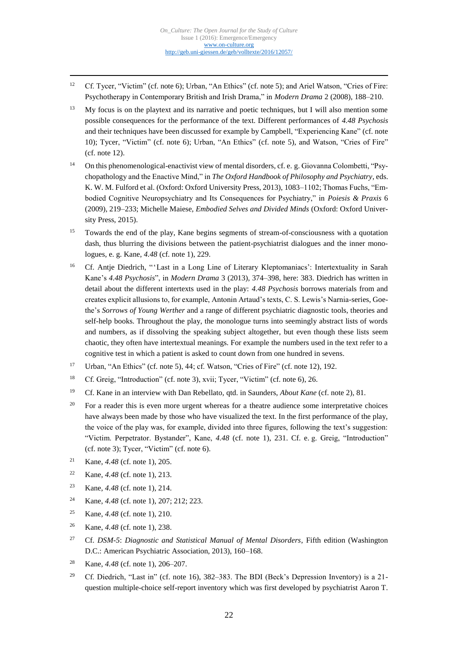- <sup>12</sup> Cf. Tycer, "Victim" (cf. note 6); Urban, "An Ethics" (cf. note 5); and Ariel Watson, "Cries of Fire: Psychotherapy in Contemporary British and Irish Drama," in *Modern Drama* 2 (2008), 188–210.
- <sup>13</sup> My focus is on the playtext and its narrative and poetic techniques, but I will also mention some possible consequences for the performance of the text. Different performances of *4.48 Psychosis* and their techniques have been discussed for example by Campbell, "Experiencing Kane" (cf. note 10); Tycer, "Victim" (cf. note 6); Urban, "An Ethics" (cf. note 5), and Watson, "Cries of Fire" (cf. note 12).
- <sup>14</sup> On this phenomenological-enactivist view of mental disorders, cf. e. g. Giovanna Colombetti, "Psychopathology and the Enactive Mind," in *The Oxford Handbook of Philosophy and Psychiatry*, eds. K. W. M. Fulford et al. (Oxford: Oxford University Press, 2013), 1083–1102; Thomas Fuchs, "Embodied Cognitive Neuropsychiatry and Its Consequences for Psychiatry," in *Poiesis & Praxis* 6 (2009), 219–233; Michelle Maiese, *Embodied Selves and Divided Minds* (Oxford: Oxford University Press, 2015).
- <sup>15</sup> Towards the end of the play, Kane begins segments of stream-of-consciousness with a quotation dash, thus blurring the divisions between the patient-psychiatrist dialogues and the inner monologues, e. g. Kane, *4.48* (cf. note 1), 229.
- <sup>16</sup> Cf. Antje Diedrich, "'Last in a Long Line of Literary Kleptomaniacs': Intertextuality in Sarah Kane's *4.48 Psychosis*", in *Modern Drama* 3 (2013), 374–398, here: 383. Diedrich has written in detail about the different intertexts used in the play: *4.48 Psychosis* borrows materials from and creates explicit allusions to, for example, Antonin Artaud's texts, C. S. Lewis's Narnia-series, Goethe's *Sorrows of Young Werther* and a range of different psychiatric diagnostic tools, theories and self-help books. Throughout the play, the monologue turns into seemingly abstract lists of words and numbers, as if dissolving the speaking subject altogether, but even though these lists seem chaotic, they often have intertextual meanings. For example the numbers used in the text refer to a cognitive test in which a patient is asked to count down from one hundred in sevens.
- <sup>17</sup> Urban, "An Ethics" (cf. note 5), 44; cf. Watson, "Cries of Fire" (cf. note 12), 192.
- <sup>18</sup> Cf. Greig, "Introduction" (cf. note 3), xvii; Tycer, "Victim" (cf. note 6), 26.
- <sup>19</sup> Cf. Kane in an interview with Dan Rebellato, qtd. in Saunders, *About Kane* (cf. note 2), 81.
- <sup>20</sup> For a reader this is even more urgent whereas for a theatre audience some interpretative choices have always been made by those who have visualized the text. In the first performance of the play, the voice of the play was, for example, divided into three figures, following the text's suggestion: "Victim. Perpetrator. Bystander", Kane, *4.48* (cf. note 1), 231. Cf. e. g. Greig, "Introduction" (cf. note 3); Tycer, "Victim" (cf. note 6).
- <sup>21</sup> Kane, *4.48* (cf. note 1), 205.

- <sup>22</sup> Kane, *4.48* (cf. note 1), 213.
- <sup>23</sup> Kane, *4.48* (cf. note 1), 214.
- <sup>24</sup> Kane, *4.48* (cf. note 1), 207; 212; 223.
- <sup>25</sup> Kane, *4.48* (cf. note 1), 210.
- <sup>26</sup> Kane, *4.48* (cf. note 1), 238.
- <sup>27</sup> Cf. *DSM-5*: *Diagnostic and Statistical Manual of Mental Disorders*, Fifth edition (Washington D.C.: American Psychiatric Association, 2013), 160–168.
- <sup>28</sup> Kane, *4.48* (cf. note 1), 206–207.
- <sup>29</sup> Cf. Diedrich, "Last in" (cf. note 16), 382–383. The BDI (Beck's Depression Inventory) is a 21question multiple-choice self-report inventory which was first developed by psychiatrist Aaron T.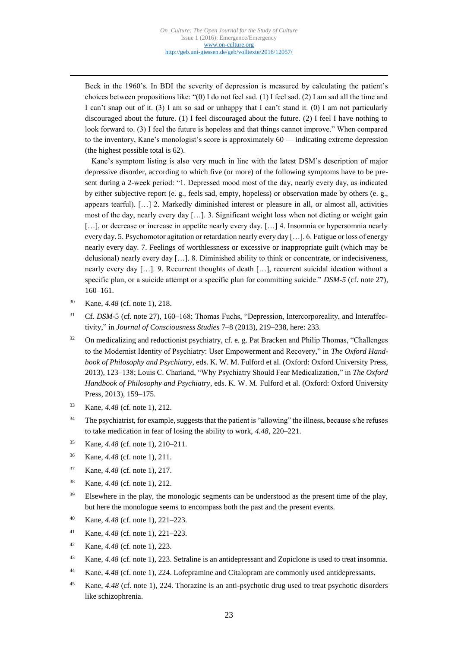Beck in the 1960's. In BDI the severity of depression is measured by calculating the patient's choices between propositions like: "(0) I do not feel sad. (1) I feel sad. (2) I am sad all the time and I can't snap out of it. (3) I am so sad or unhappy that I can't stand it. (0) I am not particularly discouraged about the future. (1) I feel discouraged about the future. (2) I feel I have nothing to look forward to. (3) I feel the future is hopeless and that things cannot improve." When compared to the inventory, Kane's monologist's score is approximately 60 — indicating extreme depression (the highest possible total is 62).

Kane's symptom listing is also very much in line with the latest DSM's description of major depressive disorder, according to which five (or more) of the following symptoms have to be present during a 2-week period: "1. Depressed mood most of the day, nearly every day, as indicated by either subjective report (e. g., feels sad, empty, hopeless) or observation made by others (e. g., appears tearful). […] 2. Markedly diminished interest or pleasure in all, or almost all, activities most of the day, nearly every day […]. 3. Significant weight loss when not dieting or weight gain [...], or decrease or increase in appetite nearly every day. [...] 4. Insomnia or hypersomnia nearly every day. 5. Psychomotor agitation or retardation nearly every day […]. 6. Fatigue or loss of energy nearly every day. 7. Feelings of worthlessness or excessive or inappropriate guilt (which may be delusional) nearly every day […]. 8. Diminished ability to think or concentrate, or indecisiveness, nearly every day […]. 9. Recurrent thoughts of death […], recurrent suicidal ideation without a specific plan, or a suicide attempt or a specific plan for committing suicide." *DSM-5* (cf. note 27), 160–161.

<sup>30</sup> Kane, *4.48* (cf. note 1), 218.

- <sup>31</sup> Cf. *DSM-5* (cf. note 27), 160–168; Thomas Fuchs, "Depression, Intercorporeality, and Interaffectivity," in *Journal of Consciousness Studies* 7–8 (2013), 219–238, here: 233.
- <sup>32</sup> On medicalizing and reductionist psychiatry, cf. e. g. Pat Bracken and Philip Thomas, "Challenges to the Modernist Identity of Psychiatry: User Empowerment and Recovery," in *The Oxford Handbook of Philosophy and Psychiatry*, eds. K. W. M. Fulford et al. (Oxford: Oxford University Press, 2013), 123–138; Louis C. Charland, "Why Psychiatry Should Fear Medicalization," in *The Oxford Handbook of Philosophy and Psychiatry*, eds. K. W. M. Fulford et al. (Oxford: Oxford University Press, 2013), 159–175.
- <sup>33</sup> Kane, *4.48* (cf. note 1), 212.
- <sup>34</sup> The psychiatrist, for example, suggests that the patient is "allowing" the illness, because s/he refuses to take medication in fear of losing the ability to work, *4.48*, 220–221.
- <sup>35</sup> Kane, *4.48* (cf. note 1), 210–211.
- <sup>36</sup> Kane, *4.48* (cf. note 1), 211.
- <sup>37</sup> Kane, *4.48* (cf. note 1), 217.
- <sup>38</sup> Kane, *4.48* (cf. note 1), 212.
- <sup>39</sup> Elsewhere in the play, the monologic segments can be understood as the present time of the play, but here the monologue seems to encompass both the past and the present events.
- <sup>40</sup> Kane, *4.48* (cf. note 1), 221–223.
- <sup>41</sup> Kane, *4.48* (cf. note 1), 221–223.
- <sup>42</sup> Kane, *4.48* (cf. note 1), 223.
- <sup>43</sup> Kane, *4.48* (cf. note 1), 223. Setraline is an antidepressant and Zopiclone is used to treat insomnia.
- <sup>44</sup> Kane, *4.48* (cf. note 1), 224. Lofepramine and Citalopram are commonly used antidepressants.
- <sup>45</sup> Kane, *4.48* (cf. note 1), 224. Thorazine is an anti-psychotic drug used to treat psychotic disorders like schizophrenia.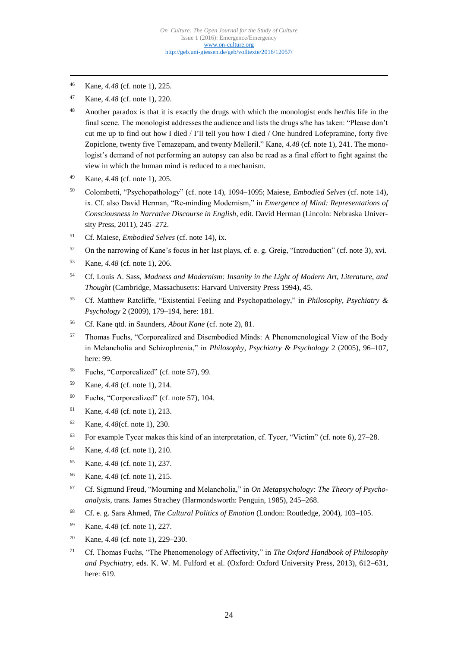<sup>46</sup> Kane, *4.48* (cf. note 1), 225.

- <sup>47</sup> Kane, *4.48* (cf. note 1), 220.
- <sup>48</sup> Another paradox is that it is exactly the drugs with which the monologist ends her/his life in the final scene. The monologist addresses the audience and lists the drugs s/he has taken: "Please don't cut me up to find out how I died / I'll tell you how I died / One hundred Lofepramine, forty five Zopiclone, twenty five Temazepam, and twenty Melleril." Kane, *4.48* (cf. note 1), 241. The monologist's demand of not performing an autopsy can also be read as a final effort to fight against the view in which the human mind is reduced to a mechanism.
- <sup>49</sup> Kane, *4.48* (cf. note 1), 205.
- <sup>50</sup> Colombetti, "Psychopathology" (cf. note 14), 1094–1095; Maiese, *Embodied Selves* (cf. note 14), ix. Cf. also David Herman, "Re-minding Modernism," in *Emergence of Mind: Representations of Consciousness in Narrative Discourse in English*, edit. David Herman (Lincoln: Nebraska University Press, 2011), 245–272.
- <sup>51</sup> Cf. Maiese, *Embodied Selves* (cf. note 14), ix.
- <sup>52</sup> On the narrowing of Kane's focus in her last plays, cf. e. g. Greig, "Introduction" (cf. note 3), xvi.
- <sup>53</sup> Kane, *4.48* (cf. note 1), 206.
- <sup>54</sup> Cf. Louis A. Sass, *Madness and Modernism: Insanity in the Light of Modern Art, Literature, and Thought* (Cambridge, Massachusetts: Harvard University Press 1994), 45.
- <sup>55</sup> Cf. Matthew Ratcliffe, "Existential Feeling and Psychopathology," in *Philosophy*, *Psychiatry & Psychology* 2 (2009), 179–194, here: 181.
- <sup>56</sup> Cf. Kane qtd. in Saunders, *About Kane* (cf. note 2), 81.
- <sup>57</sup> Thomas Fuchs, "Corporealized and Disembodied Minds: A Phenomenological View of the Body in Melancholia and Schizophrenia," in *Philosophy*, *Psychiatry & Psychology* 2 (2005), 96–107, here: 99.
- <sup>58</sup> Fuchs, "Corporealized" (cf. note 57), 99.
- <sup>59</sup> Kane, *4.48* (cf. note 1), 214.
- <sup>60</sup> Fuchs, "Corporealized" (cf. note 57), 104.
- <sup>61</sup> Kane, *4.48* (cf. note 1), 213.
- <sup>62</sup> Kane, *4.48*(cf. note 1), 230.
- <sup>63</sup> For example Tycer makes this kind of an interpretation, cf. Tycer, "Victim" (cf. note 6), 27–28.
- <sup>64</sup> Kane, *4.48* (cf. note 1), 210.
- <sup>65</sup> Kane, *4.48* (cf. note 1), 237.
- <sup>66</sup> Kane, *4.48* (cf. note 1), 215.
- <sup>67</sup> Cf. Sigmund Freud, "Mourning and Melancholia," in *On Metapsychology: The Theory of Psychoanalysis*, trans. James Strachey (Harmondsworth: Penguin, 1985), 245–268.
- <sup>68</sup> Cf. e. g. Sara Ahmed, *The Cultural Politics of Emotion* (London: Routledge, 2004), 103–105.
- <sup>69</sup> Kane, *4.48* (cf. note 1), 227.
- <sup>70</sup> Kane, *4.48* (cf. note 1), 229–230.
- <sup>71</sup> Cf. Thomas Fuchs, "The Phenomenology of Affectivity," in *The Oxford Handbook of Philosophy and Psychiatry*, eds. K. W. M. Fulford et al. (Oxford: Oxford University Press, 2013), 612–631, here: 619.